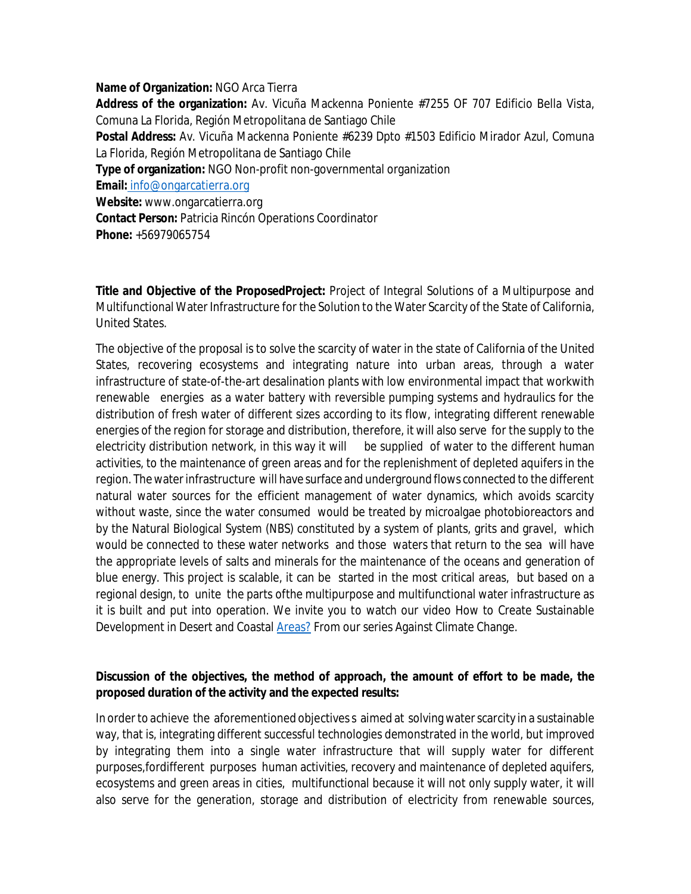## **Name of Organization:** NGO Arca Tierra

**Address of the organization:** Av. Vicuña Mackenna Poniente #7255 OF 707 Edificio Bella Vista, Comuna La Florida, Región Metropolitana de Santiago Chile **Postal Address:** Av. Vicuña Mackenna Poniente #6239 Dpto #1503 Edificio Mirador Azul, Comuna La Florida, Región Metropolitana de Santiago Chile **Type of organization:** NGO Non-profit non-governmental organization **Email:** [info@ongarcatierra.org](mailto:info@ongarcatierra.org) **Website:** [www.ongarcatierra.org](http://www.ongarcatierra.org) **Contact Person:** Patricia Rincón Operations Coordinator **Phone:** +56979065754

**Title and Objective of the ProposedProject:** Project of Integral Solutions of a Multipurpose and Multifunctional Water Infrastructure for the Solution to the Water Scarcity of the State of California, United States.

The objective of the proposal is to solve the scarcity of water in the state of California of the United States, recovering ecosystems and integrating nature into urban areas, through a water infrastructure of state-of-the-art desalination plants with low environmental impact that workwith renewable energies as a water battery with reversible pumping systems and hydraulics for the distribution of fresh water of different sizes according to its flow, integrating different renewable energies of the region for storage and distribution, therefore, it will also serve for the supply to the electricity distribution network, in this way it will be supplied of water to the different human activities, to the maintenance of green areas and for the replenishment of depleted aquifers in the region. The water infrastructure will have surface and underground flows connected to the different natural water sources for the efficient management of water dynamics, which avoids scarcity without waste, since the water consumed would be treated by microalgae photobioreactors and by the Natural Biological System (NBS) constituted by a system of plants, grits and gravel, which would be connected to these water networks and those waters that return to the sea will have the appropriate levels of salts and minerals for the maintenance of the oceans and generation of blue energy. This project is scalable, it can be started in the most critical areas, but based on a regional design, to unite the parts ofthe multipurpose and multifunctional water infrastructure as it is built and put into operation. We invite you to watch our video How to Create Sustainable Development in Desert and Coastal **Areas?** From our series Against Climate Change.

## **Discussion of the objectives, the method of approach, the amount of effort to be made, the proposed duration of the activity and the expected results:**

In order to achieve the aforementioned objectives s aimed at solving water scarcity in a sustainable way, that is, integrating different successful technologies demonstrated in the world, but improved by integrating them into a single water infrastructure that will supply water for different purposes,fordifferent purposes human activities, recovery and maintenance of depleted aquifers, ecosystems and green areas in cities, multifunctional because it will not only supply water, it will also serve for the generation, storage and distribution of electricity from renewable sources,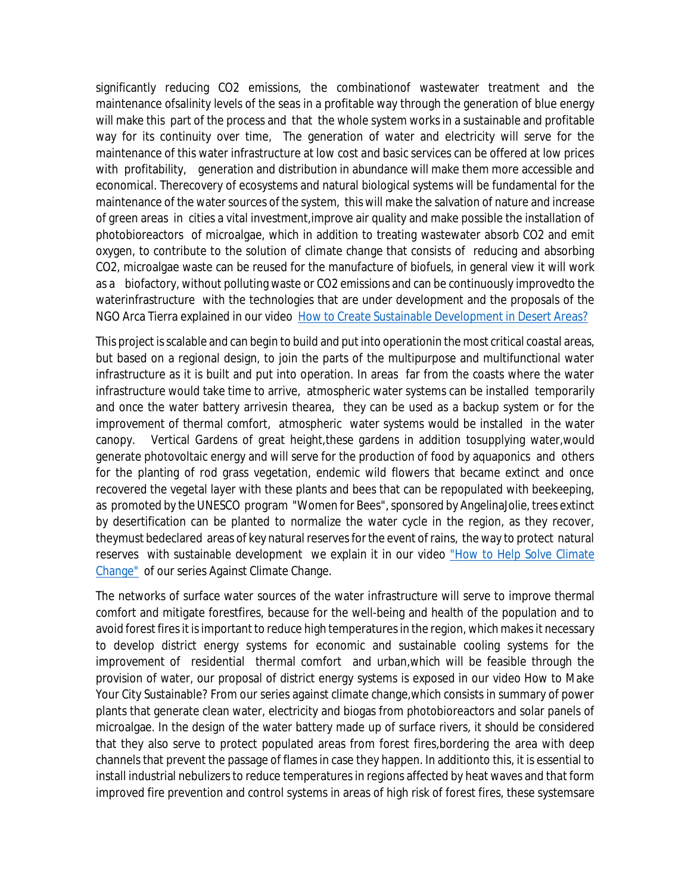significantly reducing CO2 emissions, the combinationof wastewater treatment and the maintenance ofsalinity levels of the seas in a profitable way through the generation of blue energy will make this part of the process and that the whole system works in a sustainable and profitable way for its continuity over time, The generation of water and electricity will serve for the maintenance of this water infrastructure at low cost and basic services can be offered at low prices with profitability, generation and distribution in abundance will make them more accessible and economical. Therecovery of ecosystems and natural biological systems will be fundamental for the maintenance of the water sources of the system, this will make the salvation of nature and increase of green areas in cities a vital investment,improve air quality and make possible the installation of photobioreactors of microalgae, which in addition to treating wastewater absorb CO2 and emit oxygen, to contribute to the solution of climate change that consists of reducing and absorbing CO2, microalgae waste can be reused for the manufacture of biofuels, in general view it will work as a biofactory, without polluting waste or CO2 emissions and can be continuously improvedto the waterinfrastructure with the technologies that are under development and the proposals of the NGO Arca Tierra explained in our video How to Create Sustainable Development in Desert Areas?

This project is scalable and can begin to build and put into operationin the most critical coastal areas, but based on a regional design, to join the parts of the multipurpose and multifunctional water infrastructure as it is built and put into operation. In areas far from the coasts where the water infrastructure would take time to arrive, atmospheric water systems can be installed temporarily and once the water battery arrivesin thearea, they can be used as a backup system or for the improvement of thermal comfort, atmospheric water systems would be installed in the water canopy. Vertical Gardens of great height, these gardens in addition tosupplying water, would generate photovoltaic energy and will serve for the production of food by aquaponics and others for the planting of rod grass vegetation, endemic wild flowers that became extinct and once recovered the vegetal layer with these plants and bees that can be repopulated with beekeeping, as promoted by the UNESCO program "Women for Bees", sponsored by AngelinaJolie, trees extinct by desertification can be planted to normalize the water cycle in the region, as they recover, theymust bedeclared areas of key natural reserves for the event of rains, the way to protect natural reserves with sustainable development we explain it in our video "How to Help Solve Climate Change" of our series Against Climate Change.

The networks of surface water sources of the water infrastructure will serve to improve thermal comfort and mitigate forestfires, because for the well-being and health of the population and to avoid forest fires it is important to reduce high temperatures in the region, which makes it necessary to develop district energy systems for economic and sustainable cooling systems for the improvement of residential thermal comfort and urban,which will be feasible through the provision of water, our proposal of district energy systems is exposed in our video How to Make Your City Sustainable? From our series against climate change,which consists in summary of power plants that generate clean water, electricity and biogas from photobioreactors and solar panels of microalgae. In the design of the water battery made up of surface rivers, it should be considered that they also serve to protect populated areas from forest fires,bordering the area with deep channels that prevent the passage of flames in case they happen. In additionto this, it is essential to install industrial nebulizers to reduce temperatures in regions affected by heat waves and that form improved fire prevention and control systems in areas of high risk of forest fires, these systemsare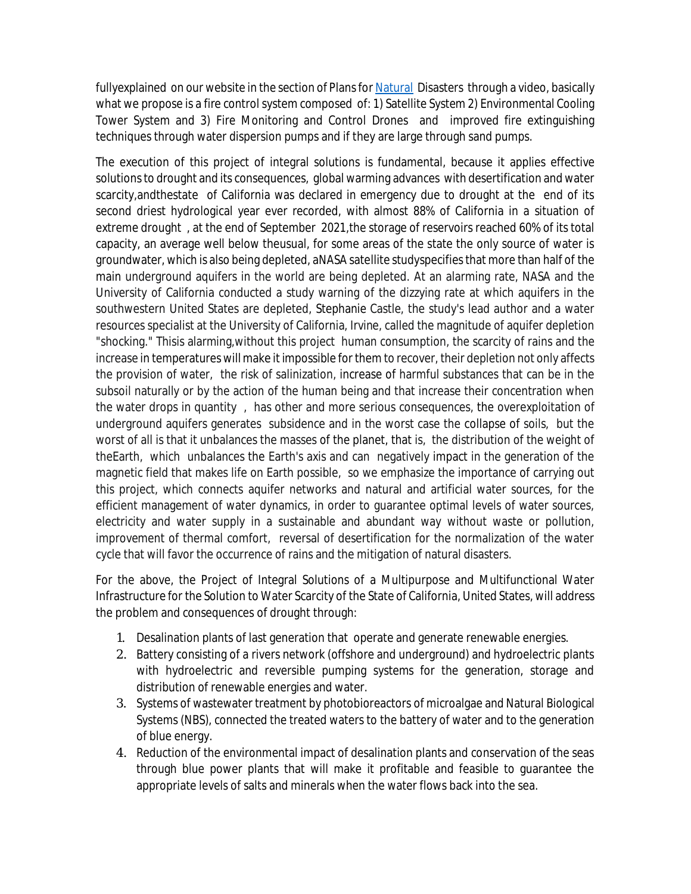fullyexplained on our website in the section of Plans for Natural Disasters through a video, basically what we propose is a fire control system composed of: 1) Satellite System 2) Environmental Cooling Tower System and 3) Fire Monitoring and Control Drones and improved fire extinguishing techniques through water dispersion pumps and if they are large through sand pumps.

The execution of this project of integral solutions is fundamental, because it applies effective solutions to drought and its consequences, global warming advances with desertification and water scarcity,andthestate of California was declared in emergency due to drought at the end of its second driest hydrological year ever recorded, with almost 88% of California in a situation of extreme drought , at the end of September 2021,the storage of reservoirs reached 60% of its total capacity, an average well below theusual, for some areas of the state the only source of water is groundwater, which is also being depleted, aNASA satellite studyspecifies that more than half of the main underground aquifers in the world are being depleted. At an alarming rate, NASA and the University of California conducted a study warning of the dizzying rate at which aquifers in the southwestern United States are depleted, Stephanie Castle, the study's lead author and a water resources specialist at the University of California, Irvine, called the magnitude of aquifer depletion "shocking." Thisis alarming,without this project human consumption, the scarcity of rains and the increase in temperatures will make it impossible for them to recover, their depletion not only affects the provision of water, the risk of salinization, increase of harmful substances that can be in the subsoil naturally or by the action of the human being and that increase their concentration when the water drops in quantity , has other and more serious consequences, the overexploitation of underground aquifers generates subsidence and in the worst case the collapse of soils, but the worst of all is that it unbalances the masses of the planet, that is, the distribution of the weight of theEarth, which unbalances the Earth's axis and can negatively impact in the generation of the magnetic field that makes life on Earth possible, so we emphasize the importance of carrying out this project, which connects aquifer networks and natural and artificial water sources, for the efficient management of water dynamics, in order to guarantee optimal levels of water sources, electricity and water supply in a sustainable and abundant way without waste or pollution, improvement of thermal comfort, reversal of desertification for the normalization of the water cycle that will favor the occurrence of rains and the mitigation of natural disasters.

For the above, the Project of Integral Solutions of a Multipurpose and Multifunctional Water Infrastructure for the Solution to Water Scarcity of the State of California, United States, will address the problem and consequences of drought through:

- 1. Desalination plants of last generation that operate and generate renewable energies.
- 2. Battery consisting of a rivers network (offshore and underground) and hydroelectric plants with hydroelectric and reversible pumping systems for the generation, storage and distribution of renewable energies and water.
- 3. Systems of wastewater treatment by photobioreactors of microalgae and Natural Biological Systems (NBS), connected the treated waters to the battery of water and to the generation of blue energy.
- 4. Reduction of the environmental impact of desalination plants and conservation of the seas through blue power plants that will make it profitable and feasible to guarantee the appropriate levels of salts and minerals when the water flows back into the sea.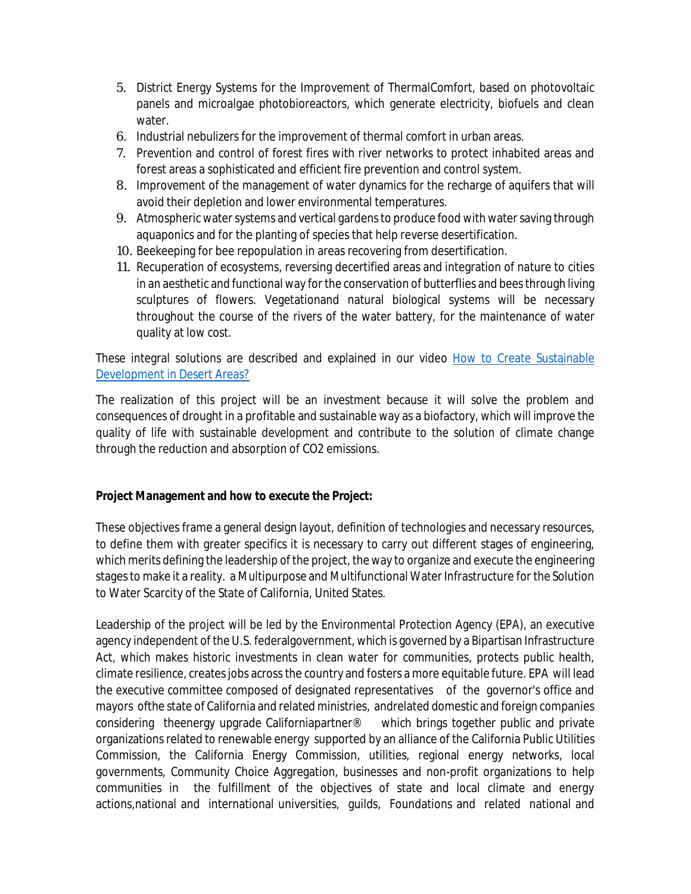- 5. District Energy Systems for the Improvement of ThermalComfort, based on photovoltaic panels and microalgae photobioreactors, which generate electricity, biofuels and clean water.
- 6. Industrial nebulizers for the improvement of thermal comfort in urban areas.
- 7. Prevention and control of forest fires with river networks to protect inhabited areas and forest areas a sophisticated and efficient fire prevention and control system.
- 8. Improvement of the management of water dynamics for the recharge of aquifers that will avoid their depletion and lower environmental temperatures.
- 9. Atmospheric water systems and vertical gardens to produce food with water saving through aquaponics and for the planting of species that help reverse desertification.
- 10. Beekeeping for bee repopulation in areas recovering from desertification.
- 11. Recuperation of ecosystems, reversing decertified areas and integration of nature to cities in an aesthetic and functional way for the conservation of butterflies and bees through living sculptures of flowers. Vegetationand natural biological systems will be necessary throughout the course of the rivers of the water battery, for the maintenance of water quality at low cost.

These integral solutions are described and explained in our video How to Create Sustainable Development in Desert Areas?

The realization of this project will be an investment because it will solve the problem and consequences of drought in a profitable and sustainable way as a biofactory, which will improve the quality of life with sustainable development and contribute to the solution of climate change through the reduction and absorption of CO2 emissions.

## **Project Management and how to execute the Project:**

These objectives frame a general design layout, definition of technologies and necessary resources, to define them with greater specifics it is necessary to carry out different stages of engineering, which merits defining the leadership of the project, the way to organize and execute the engineering stages to make it a reality. a Multipurpose and Multifunctional Water Infrastructure for the Solution to Water Scarcity of the State of California, United States.

Leadership of the project will be led by the Environmental Protection Agency (EPA), an executive agency independent of the U.S. federalgovernment, which is governed by a Bipartisan Infrastructure Act, which makes historic investments in clean water for communities, protects public health, climate resilience, creates jobs across the country and fosters a more equitable future. EPA will lead the executive committee composed of designated representatives of the governor's office and mayors ofthe state of California and related ministries, andrelated domestic and foreign companies considering theenergy upgrade Californiapartner® which brings together public and private organizations related to renewable energy supported by an alliance of the California Public Utilities Commission, the California Energy Commission, utilities, regional energy networks, local governments, Community Choice Aggregation, businesses and non-profit organizations to help communities in the fulfillment of the objectives of state and local climate and energy actions,national and international universities, guilds, Foundations and related national and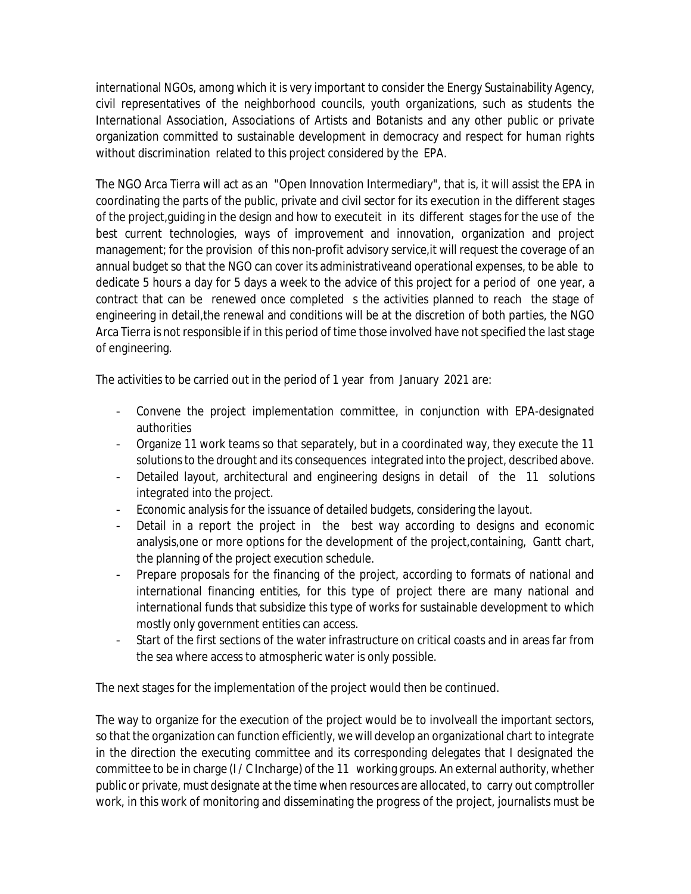international NGOs, among which it is very important to consider the Energy Sustainability Agency, civil representatives of the neighborhood councils, youth organizations, such as students the International Association, Associations of Artists and Botanists and any other public or private organization committed to sustainable development in democracy and respect for human rights without discrimination related to this project considered by the EPA.

The NGO Arca Tierra will act as an "Open Innovation Intermediary", that is, it will assist the EPA in coordinating the parts of the public, private and civil sector for its execution in the different stages of the project,guiding in the design and how to executeit in its different stages for the use of the best current technologies, ways of improvement and innovation, organization and project management; for the provision of this non-profit advisory service,it will request the coverage of an annual budget so that the NGO can cover its administrativeand operational expenses, to be able to dedicate 5 hours a day for 5 days a week to the advice of this project for a period of one year, a contract that can be renewed once completed s the activities planned to reach the stage of engineering in detail,the renewal and conditions will be at the discretion of both parties, the NGO Arca Tierra is not responsible if in this period of time those involved have not specified the last stage of engineering.

The activities to be carried out in the period of 1 year from January 2021 are:

- Convene the project implementation committee, in conjunction with EPA-designated authorities
- Organize 11 work teams so that separately, but in a coordinated way, they execute the 11 solutions to the drought and its consequences integrated into the project, described above.
- Detailed layout, architectural and engineering designs in detail of the 11 solutions integrated into the project.
- Economic analysis for the issuance of detailed budgets, considering the layout.
- Detail in a report the project in the best way according to designs and economic analysis,one or more options for the development of the project,containing, Gantt chart, the planning of the project execution schedule.
- Prepare proposals for the financing of the project, according to formats of national and international financing entities, for this type of project there are many national and international funds that subsidize this type of works for sustainable development to which mostly only government entities can access.
- Start of the first sections of the water infrastructure on critical coasts and in areas far from the sea where access to atmospheric water is only possible.

The next stages for the implementation of the project would then be continued.

The way to organize for the execution of the project would be to involveall the important sectors, so that the organization can function efficiently, we will develop an organizational chart to integrate in the direction the executing committee and its corresponding delegates that I designated the committee to be in charge (I / C Incharge) of the 11 working groups. An external authority, whether public or private, must designate at the time when resources are allocated, to carry out comptroller work, in this work of monitoring and disseminating the progress of the project, journalists must be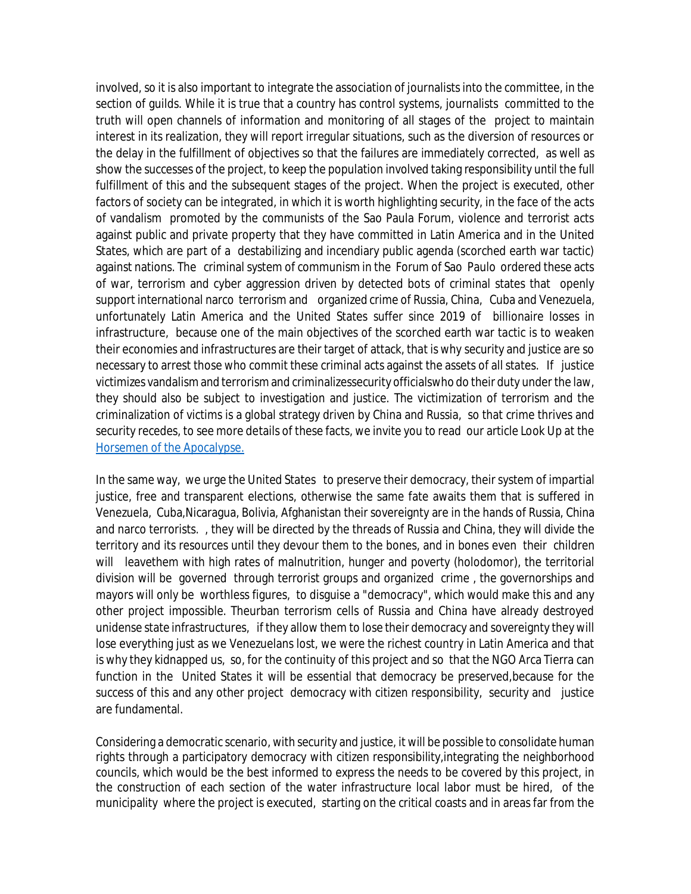involved, so it is also important to integrate the association of journalists into the committee, in the section of guilds. While it is true that a country has control systems, journalists committed to the truth will open channels of information and monitoring of all stages of the project to maintain interest in its realization, they will report irregular situations, such as the diversion of resources or the delay in the fulfillment of objectives so that the failures are immediately corrected, as well as show the successes of the project, to keep the population involved taking responsibility until the full fulfillment of this and the subsequent stages of the project. When the project is executed, other factors of society can be integrated, in which it is worth highlighting security, in the face of the acts of vandalism promoted by the communists of the Sao Paula Forum, violence and terrorist acts against public and private property that they have committed in Latin America and in the United States, which are part of a destabilizing and incendiary public agenda (scorched earth war tactic) against nations. The criminal system of communism in the Forum of Sao Paulo ordered these acts of war, terrorism and cyber aggression driven by detected bots of criminal states that openly support international narco terrorism and organized crime of Russia, China, Cuba and Venezuela, unfortunately Latin America and the United States suffer since 2019 of billionaire losses in infrastructure, because one of the main objectives of the scorched earth war tactic is to weaken their economies and infrastructures are their target of attack, that is why security and justice are so necessary to arrest those who commit these criminal acts against the assets of all states. If justice victimizes vandalism and terrorismand criminalizessecurity officialswho do their duty under the law, they should also be subject to investigation and justice. The victimization of terrorism and the criminalization of victims is a global strategy driven by China and Russia, so that crime thrives and security recedes, to see more details of these facts, we invite you to read our article Look Up at the Horsemen of the Apocalypse.

In the same way, we urge the United States to preserve their democracy, their system of impartial justice, free and transparent elections, otherwise the same fate awaits them that is suffered in Venezuela, Cuba,Nicaragua, Bolivia, Afghanistan their sovereignty are in the hands of Russia, China and narco terrorists. , they will be directed by the threads of Russia and China, they will divide the territory and its resources until they devour them to the bones, and in bones even their children will leavethem with high rates of malnutrition, hunger and poverty (holodomor), the territorial division will be governed through terrorist groups and organized crime , the governorships and mayors will only be worthless figures, to disguise a "democracy", which would make this and any other project impossible. Theurban terrorism cells of Russia and China have already destroyed unidense state infrastructures, if they allow them to lose their democracy and sovereignty they will lose everything just as we Venezuelans lost, we were the richest country in Latin America and that is why they kidnapped us, so, for the continuity of this project and so that the NGO Arca Tierra can function in the United States it will be essential that democracy be preserved,because for the success of this and any other project democracy with citizen responsibility, security and justice are fundamental.

Considering a democratic scenario, with security and justice, it will be possible to consolidate human rights through a participatory democracy with citizen responsibility,integrating the neighborhood councils, which would be the best informed to express the needs to be covered by this project, in the construction of each section of the water infrastructure local labor must be hired, of the municipality where the project is executed, starting on the critical coasts and in areas far from the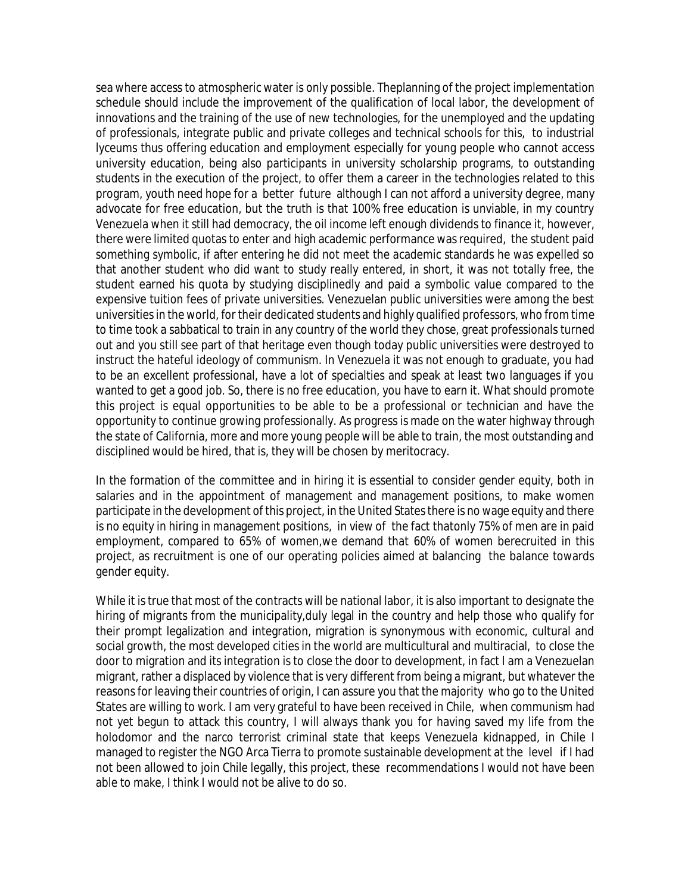sea where access to atmospheric water is only possible. Theplanning of the project implementation schedule should include the improvement of the qualification of local labor, the development of innovations and the training of the use of new technologies, for the unemployed and the updating of professionals, integrate public and private colleges and technical schools for this, to industrial lyceums thus offering education and employment especially for young people who cannot access university education, being also participants in university scholarship programs, to outstanding students in the execution of the project, to offer them a career in the technologies related to this program, youth need hope for a better future although I can not afford a university degree, many advocate for free education, but the truth is that 100% free education is unviable, in my country Venezuela when it still had democracy, the oil income left enough dividends to finance it, however, there were limited quotas to enter and high academic performance was required, the student paid something symbolic, if after entering he did not meet the academic standards he was expelled so that another student who did want to study really entered, in short, it was not totally free, the student earned his quota by studying disciplinedly and paid a symbolic value compared to the expensive tuition fees of private universities. Venezuelan public universities were among the best universities in the world, for their dedicated students and highly qualified professors, who from time to time took a sabbatical to train in any country of the world they chose, great professionals turned out and you still see part of that heritage even though today public universities were destroyed to instruct the hateful ideology of communism. In Venezuela it was not enough to graduate, you had to be an excellent professional, have a lot of specialties and speak at least two languages if you wanted to get a good job. So, there is no free education, you have to earn it. What should promote this project is equal opportunities to be able to be a professional or technician and have the opportunity to continue growing professionally. As progress is made on the water highway through the state of California, more and more young people will be able to train, the most outstanding and disciplined would be hired, that is, they will be chosen by meritocracy.

In the formation of the committee and in hiring it is essential to consider gender equity, both in salaries and in the appointment of management and management positions, to make women participate in the development of this project, in the United States there is no wage equity and there is no equity in hiring in management positions, in view of the fact thatonly 75% of men are in paid employment, compared to 65% of women,we demand that 60% of women berecruited in this project, as recruitment is one of our operating policies aimed at balancing the balance towards gender equity.

While it is true that most of the contracts will be national labor, it is also important to designate the hiring of migrants from the municipality,duly legal in the country and help those who qualify for their prompt legalization and integration, migration is synonymous with economic, cultural and social growth, the most developed cities in the world are multicultural and multiracial, to close the door to migration and its integration is to close the door to development, in fact I am a Venezuelan migrant, rather a displaced by violence that is very different from being a migrant, but whatever the reasons for leaving their countries of origin, I can assure you that the majority who go to the United States are willing to work. I am very grateful to have been received in Chile, when communism had not yet begun to attack this country, I will always thank you for having saved my life from the holodomor and the narco terrorist criminal state that keeps Venezuela kidnapped, in Chile I managed to register the NGO Arca Tierra to promote sustainable development at the level if I had not been allowed to join Chile legally, this project, these recommendations I would not have been able to make, I think I would not be alive to do so.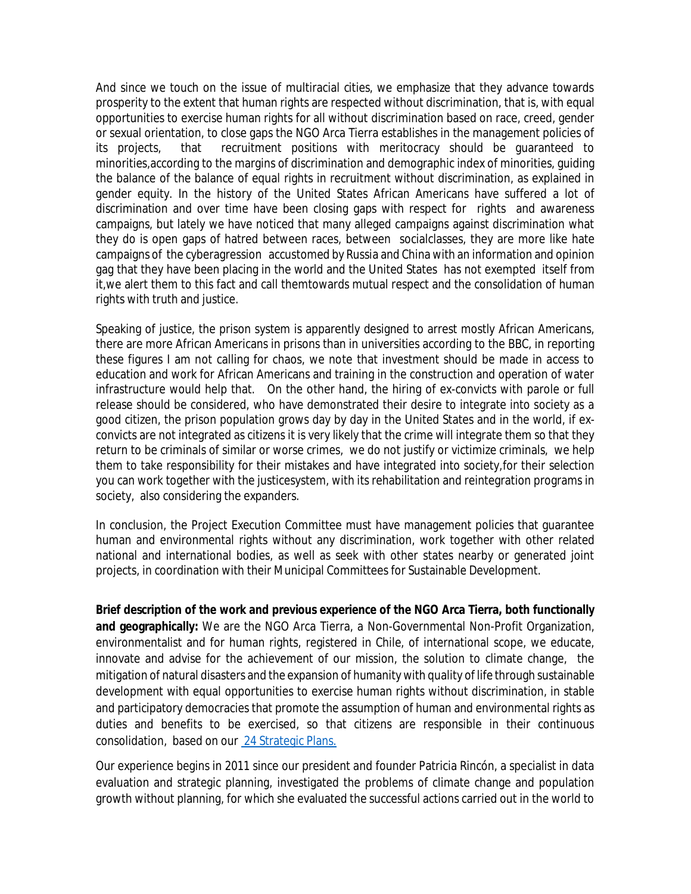And since we touch on the issue of multiracial cities, we emphasize that they advance towards prosperity to the extent that human rights are respected without discrimination, that is, with equal opportunities to exercise human rights for all without discrimination based on race, creed, gender or sexual orientation, to close gaps the NGO Arca Tierra establishes in the management policies of its projects, that recruitment positions with meritocracy should be guaranteed to minorities,according to the margins of discrimination and demographic index of minorities, guiding the balance of the balance of equal rights in recruitment without discrimination, as explained in gender equity. In the history of the United States African Americans have suffered a lot of discrimination and over time have been closing gaps with respect for rights and awareness campaigns, but lately we have noticed that many alleged campaigns against discrimination what they do is open gaps of hatred between races, between socialclasses, they are more like hate campaigns of the cyberagression accustomed by Russia and China with an information and opinion gag that they have been placing in the world and the United States has not exempted itself from it,we alert them to this fact and call themtowards mutual respect and the consolidation of human rights with truth and justice.

Speaking of justice, the prison system is apparently designed to arrest mostly African Americans, there are more African Americans in prisons than in universities according to the BBC, in reporting these figures I am not calling for chaos, we note that investment should be made in access to education and work for African Americans and training in the construction and operation of water infrastructure would help that. On the other hand, the hiring of ex-convicts with parole or full release should be considered, who have demonstrated their desire to integrate into society as a good citizen, the prison population grows day by day in the United States and in the world, if exconvicts are not integrated as citizens it is very likely that the crime will integrate them so that they return to be criminals of similar or worse crimes, we do not justify or victimize criminals, we help them to take responsibility for their mistakes and have integrated into society,for their selection you can work together with the justicesystem, with its rehabilitation and reintegration programs in society, also considering the expanders.

In conclusion, the Project Execution Committee must have management policies that guarantee human and environmental rights without any discrimination, work together with other related national and international bodies, as well as seek with other states nearby or generated joint projects, in coordination with their Municipal Committees for Sustainable Development.

**Brief description of the work and previous experience of the NGO Arca Tierra, both functionally and geographically:** We are the NGO Arca Tierra, a Non-Governmental Non-Profit Organization, environmentalist and for human rights, registered in Chile, of international scope, we educate, innovate and advise for the achievement of our mission, the solution to climate change, the mitigation of natural disasters and the expansion of humanity with quality of life through sustainable development with equal opportunities to exercise human rights without discrimination, in stable and participatory democracies that promote the assumption of human and environmental rights as duties and benefits to be exercised, so that citizens are responsible in their continuous consolidation, based on our 24 Strategic Plans.

Our experience begins in 2011 since our president and founder Patricia Rincón, a specialist in data evaluation and strategic planning, investigated the problems of climate change and population growth without planning, for which she evaluated the successful actions carried out in the world to